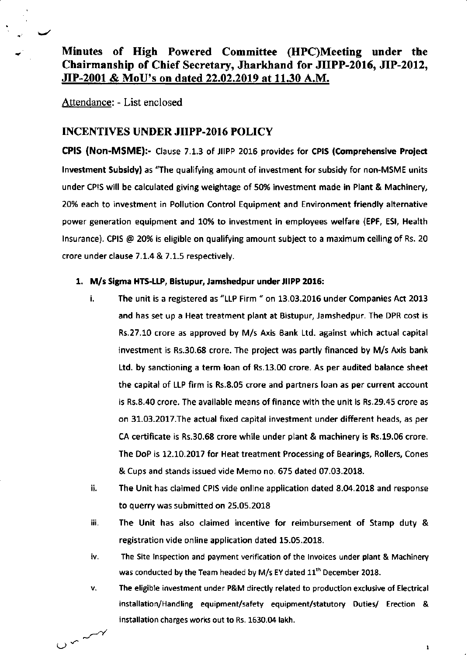Attendance: - List enclosed

# INCENTIVES UNDER JIIPP.2O16 POLICY

CPIS (Non-MSME):- Clause 7.1.3 of JIIPP 2016 provides for CPIS (Comprehensive Project lnvestment Subsldy) as'The qualifying amount of investment for subsidy for non-MSME units under CPIS will be calculated giving weightage of 50% investment made in Plant & Machinery, 20% each to investment in Pollution Control Equipment and Environment friendly alternative power generation equipment and 10% to investment in employees welfare (EPF, ESl, Health lnsurance). CPIS @ 20% is eligible on qualifying amount subject to a maximum ceiling of Rs. 20 crore under clause 7.1.4 & 7.1.5 respectively.

## 1. M/s Sigma HTS-LLP, Bistupur, Jamshedpur under JIIPP 2016:

- i. The unit is a registered as "LLP Firm " on 13.03.2016 under Companies Act 2013 and has set up a Heat treatment plant at Eistupur, Jamshedpur. The DPR cost is Rs.27.10 crore as approved by M/s Axis Bank Ltd. against which actual capital investment is Rs.30.68 crore. The project was partly financed by M/s Axis bank Ltd. by sanctioning a term loan of Rs.13.00 crore. As per audited balance sheet the capital of LLP firm is Rs.8.05 crore and partners loan as per current account is Rs.8.40 crore. The available means of finance with the unit is Rs.29.45 crore as on 31.03.2017.The actual fixed capital investment under different heads, as per CA certificate is Rs.30.68 crore while under plant & machinery is Rs.19.05 crore. The DoP is 12.10.2017 for Heat treatment Processing of Bearings, Rollers, Cones & Cups and stands issued vide Memo no,675 dated 07.03.2018.
- ii. The Unit has claimed CPIS vide online application dated 8.04.2018 and response to querry was submitted on 25.05.2018
- iii. The Unit has also claimed incentive for reimbursement of Stamp duty & registration vide online application dated 15.05.2018.
- iv. The Site inspection and payment veriflcation of the Invoices under plant & Machinery was conducted by the Team headed by M/s EY dated 11'h December 2018.
- v. The eligible investment under P&M directly related to production exclusive of Electrical installation/Handling equipment/safety equipment/statutory Duties/ Erection & installation charges works out to Rs. 1630.04 lakh.

 $\mathbf{1}$ 

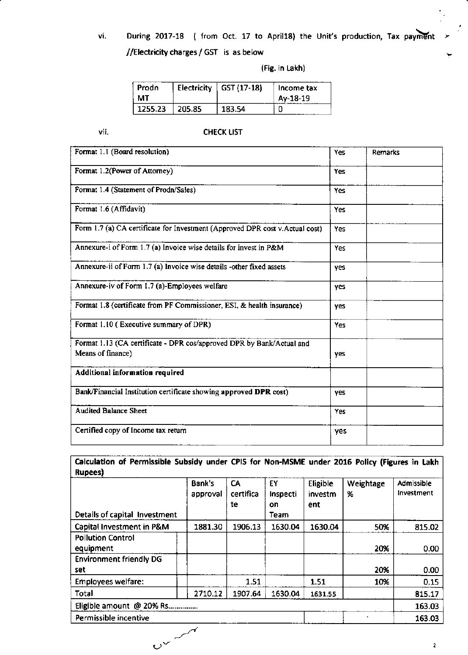During 2017-18 ( from Oct. 17 to April18) the Unit's production, Tax payment vi. //Electricity charges / GST is as below

(Fig. in Lakh)

| Prodn<br>мт |        | Electricity $\int$ GST (17-18) | Income tax<br>Av-18-19 |
|-------------|--------|--------------------------------|------------------------|
| 1255.23     | 205.85 | 183.54                         |                        |

vii.

## **CHECK LIST**

| Format 1.1 (Board resolution)                                                              | Yes | <b>Remarks</b> |
|--------------------------------------------------------------------------------------------|-----|----------------|
| Format 1.2(Power of Attorney)                                                              | Yes |                |
| Format 1.4 (Statement of Prodn/Sales)                                                      | Yes |                |
| Format 1.6 (Affidavit)                                                                     | Yes |                |
| Form 1.7 (a) CA certificate for Investment (Approved DPR cost v.Actual cost)               | Yes |                |
| Annexure-i of Form 1.7 (a) Invoice wise details for invest in P&M                          | Yes |                |
| Annexure-ii of Form 1.7 (a) Invoice wise details -other fixed assets                       | yes |                |
| Annexure-iv of Form 1.7 (a)-Employees welfare                                              | yes |                |
| Format 1.8 (certificate from PF Commissioner, ESI, & health insurance)                     | ves |                |
| Format 1.10 (Executive summary of DPR)                                                     | Yes |                |
| Format 1.13 (CA certificate - DPR cos/approved DPR by Bank/Actual and<br>Means of finance) | ves |                |
| Additional information required                                                            |     |                |
| Bank/Financial Institution certificate showing approved DPR cost)                          | yes |                |
| <b>Audited Balance Sheet</b>                                                               | Yes |                |
| Certified copy of Income tax return                                                        | yes |                |

# Calculation of Permissible Subsidy under CPIS for Non-MSME under 2016 Policy (Figures in Lakh Rupees)

|                                | Bank's   | CA        | ĖΥ       | Eligible | Weightage | Admissible |
|--------------------------------|----------|-----------|----------|----------|-----------|------------|
|                                | approval | certifica | Inspecti | investm  | %         | Investment |
|                                |          | te        | on       | ent      |           |            |
| Details of capital Investment  |          |           | Team     |          |           |            |
| Capital Investment in P&M      | 1881.30  | 1906.13   | 1630.04  | 1630.04  | 50%       | 815.02     |
| <b>Pollution Control</b>       |          |           |          |          |           |            |
| equipment                      |          |           |          |          | 20%       | 0.00       |
| <b>Environment friendly DG</b> |          |           |          |          |           |            |
| set.                           |          |           |          |          | 20%       | 0.00       |
| <b>Employees welfare:</b>      |          | 1.51      |          | 1.51     | 10%       | 0.15       |
| Total                          | 2710.12  | 1907.64   | 1630.04  | 1631.55  |           | 815.17     |
| Eligible amount @ 20% Rs       |          |           |          |          |           | 163.03     |
| Permissible incentive          |          |           |          |          |           | 163.03     |
|                                |          |           |          |          |           |            |
| $v^2$                          |          |           |          |          |           | 2          |

 $\bar{\mathbf{z}}$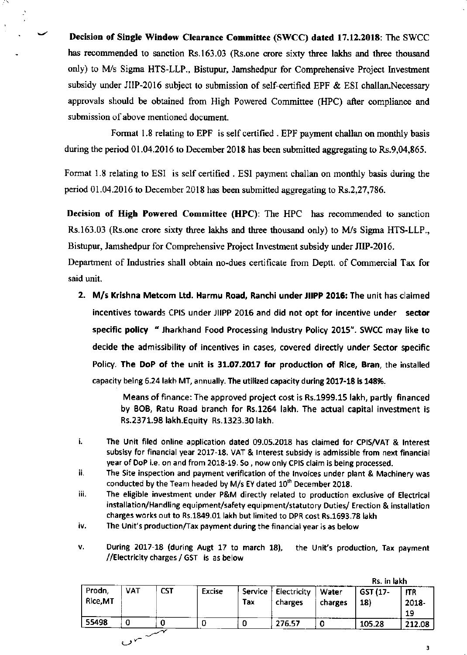Decision of Single Window Clearance Committee (SWCC) dated 17.12.2018: The SWCC has recommended to sanction Rs.163.03 (Rs.one crore sixty three lakhs and three thousand only) to NI/s Sigma HTS-LLP., Bistupur, Jamshedpur for Comprehensive Project lnvestnent subsidy under JIIP-2016 subject to submission of self-certified EPF & ESI challan.Necessary approvals should be obtained from High Powered Committee (HPC) affer compliance and submission of above mentioned document.

Format 1.8 relating to EPF is self certified . EPF payment challan on monthly basis during the period 01.04.2016 to December 2018 has been submitted aggregating to Rs.9,04,865.

Format 1.8 relating to ESI is self certified . ESI payment challan on monthly basis during the period 01.04.2016 to December 2018 has been submitted aggregating to Rs.2,27,786.

Decision of High Powered Committee (HPC): The HPC has recommended to sanction Rs.163.03 (Rs.one crore sixty three lakhs and three thousand only) to M/s Sigma HTS-LLP., Bistupur, Jamshedpur for Comprehensive Project Investment subsidy under JIIP-2016.

Departnent of Industries shall obtain no-dues cenificate ftom Deptt. of Commercial Tax for said unit.

2. M/s Krlshna Metcom Ltd. Harmu Road, Ranchi under JIIPP 2016: The unit has claimed incentives towards CPIS under JIIPP 2015 and did not opt for incentive under sector specific policy " Jharkhand Food Processing Industry Policy 2015". SWCC may like to decide the admissibility of incentives in cases, covered directly under Sector specific Policy. The DoP of the unit is 31.07.2017 for production of Rice, Bran, the installed capacity being 6.24 lakh MT, annually. The utilized capacity during 2017-18 is 148%.

> Means of finance: The approved project cost is Rs.1999.15 lakh, partly financed by BOB, Ratu Road branch for Rs.1254 lakh. The actual capital investment is Rs.2371.98 lakh.Equity Rs.1323.30 lakh.

- The Unit filed online application dated 09.05.2018 has ctaimed for CP|S/VAT & tnterest subsisy for financial year 2017-18. VAT & lnterest subsidy is admissible from next financial year of DoP i.e. on and from 2018.19. So , now only CPIS claim is being processed. i.
- ii. The Site inspection and payment verification of the lnvoices under plant & Machinery was conducted by the Team headed by M/s EY dated 10<sup>th</sup> December 2018.
- iii. The eligible investment under P&M directly related to production exclusive of Electrical installation/Handling equipment/safety equipment/statutory Duties/ Erection & installation charges works out to Rs.1849.01 lakh but limited to DPR cost Rs.1693.78 lakh
- iv. The Unit's production/Tax payment during the financial year is as below
- ٧. During 2017-18 (during Augt 17 to march 18), the Unit's production, Tax payment //Electricity charges/ GST is as below

|                    |            |            |        |                |                        |                  | iks. In lakn    |                           |
|--------------------|------------|------------|--------|----------------|------------------------|------------------|-----------------|---------------------------|
| Prodn,<br>Rice, MT | <b>VAT</b> | <b>CST</b> | Excise | Service<br>Tax | Electricity<br>charges | Water<br>charges | GST (17-<br>18) | <b>ITR</b><br>2018-<br>19 |
| 55498              | 0          |            | O      | 0              | 276.57                 | 0                | 105.28          | 212.08                    |
|                    | حو م       |            |        |                |                        |                  |                 |                           |

Rs. in lakh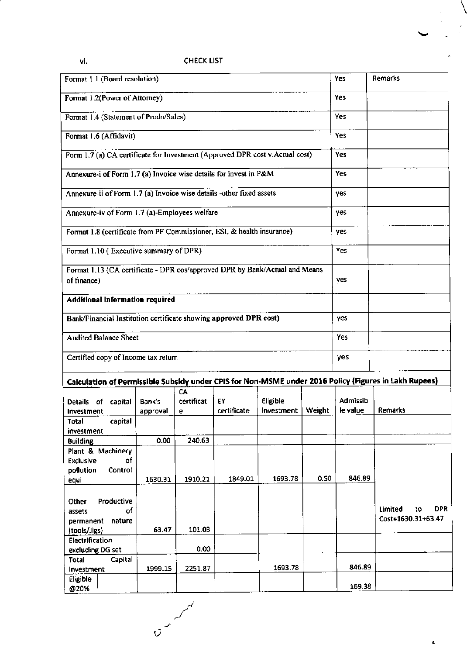# vi.

# CHECK LIST

| Format 1.1 (Board resolution)                                        |            |                                        |                                               |                                                                        |                                                                              |        | Yes                         | <b>Remarks</b>                                                                                        |
|----------------------------------------------------------------------|------------|----------------------------------------|-----------------------------------------------|------------------------------------------------------------------------|------------------------------------------------------------------------------|--------|-----------------------------|-------------------------------------------------------------------------------------------------------|
| Format 1.2(Power of Attorney)                                        |            |                                        |                                               |                                                                        |                                                                              |        | Yes                         |                                                                                                       |
|                                                                      |            | Format 1.4 (Statement of Prodn/Sales)  |                                               |                                                                        |                                                                              |        | Yes                         |                                                                                                       |
| Format 1.6 (Affidavit)                                               |            |                                        |                                               |                                                                        |                                                                              |        | <b>Yes</b>                  |                                                                                                       |
|                                                                      |            |                                        |                                               |                                                                        | Form 1.7 (a) CA certificate for Investment (Approved DPR cost v.Actual cost) |        | Yes                         |                                                                                                       |
| Annexure-i of Form 1.7 (a) Invoice wise details for invest in P&M    |            | Yes                                    |                                               |                                                                        |                                                                              |        |                             |                                                                                                       |
| Annexure-ii of Form 1.7 (a) Invoice wise details -other fixed assets |            | yes                                    |                                               |                                                                        |                                                                              |        |                             |                                                                                                       |
|                                                                      |            |                                        | Annexure-iv of Form 1.7 (a)-Employees welfare |                                                                        |                                                                              |        | yes                         |                                                                                                       |
|                                                                      |            |                                        |                                               | Format 1.8 (certificate from PF Commissioner, ESI, & health insurance) |                                                                              |        | yes                         |                                                                                                       |
|                                                                      |            | Format 1.10 (Executive summary of DPR) |                                               |                                                                        |                                                                              |        | Yes                         |                                                                                                       |
| of finance)                                                          |            |                                        |                                               |                                                                        | Format 1.13 (CA certificate - DPR cos/approved DPR by Bank/Actual and Means  |        | yes                         |                                                                                                       |
|                                                                      |            | Additional information required        |                                               |                                                                        |                                                                              |        |                             |                                                                                                       |
|                                                                      |            |                                        |                                               | Bank/Financial Institution certificate showing approved DPR cost)      |                                                                              |        | ves                         |                                                                                                       |
| <b>Audited Balance Sheet</b>                                         |            |                                        |                                               |                                                                        |                                                                              |        | Yes                         |                                                                                                       |
|                                                                      |            | Certified copy of Income tax return    |                                               |                                                                        |                                                                              |        | yes                         |                                                                                                       |
|                                                                      |            |                                        |                                               |                                                                        |                                                                              |        |                             | Calculation of Permissible Subsidy under CPIS for Non-MSME under 2016 Policy (Figures in Lakh Rupees) |
|                                                                      |            |                                        | CA                                            |                                                                        |                                                                              |        |                             |                                                                                                       |
| Details of<br>Investment                                             | capital    | Bank's                                 | certificat<br>е                               | EY<br>certificate                                                      | Eligible<br>investment                                                       | Weight | <b>Admissib</b><br>le value | Remarks                                                                                               |
| Total                                                                | capital    | approval                               |                                               |                                                                        |                                                                              |        |                             |                                                                                                       |
| investment                                                           |            |                                        |                                               |                                                                        |                                                                              |        |                             |                                                                                                       |
| <b>Building</b>                                                      |            | 0.00                                   | 240.63                                        |                                                                        |                                                                              |        |                             |                                                                                                       |
| Plant & Machinery<br><b>Exclusive</b>                                | of         |                                        |                                               |                                                                        |                                                                              |        |                             |                                                                                                       |
| pollution                                                            | Control    |                                        |                                               |                                                                        |                                                                              |        |                             |                                                                                                       |
| equi                                                                 |            | 1630.31                                | 1910.21                                       | 1849.01                                                                | 1693.78                                                                      | 0.50   | 846.89                      |                                                                                                       |
| Other                                                                | Productive |                                        |                                               |                                                                        |                                                                              |        |                             |                                                                                                       |
| assets                                                               | of         |                                        |                                               |                                                                        |                                                                              |        |                             | <b>DPR</b><br>Limited<br>to                                                                           |
| permanent                                                            | nature     |                                        |                                               |                                                                        |                                                                              |        |                             | Cost=1630.31+63.47                                                                                    |
| (tools/Jigs)                                                         |            | 63.47                                  | 101.03                                        |                                                                        |                                                                              |        |                             |                                                                                                       |
| Electrification                                                      |            |                                        | 0.00                                          |                                                                        |                                                                              |        |                             |                                                                                                       |
| excluding DG set<br>Total                                            | Capital    |                                        |                                               |                                                                        |                                                                              |        |                             |                                                                                                       |
| Investment                                                           |            | 1999.15                                | 2251.87                                       |                                                                        | 1693.78                                                                      |        | 846.89                      |                                                                                                       |
| Eligible                                                             |            |                                        |                                               |                                                                        |                                                                              |        |                             |                                                                                                       |
| @20%                                                                 |            |                                        |                                               |                                                                        |                                                                              |        | 169.38                      |                                                                                                       |

 $\hat{v}$ 

 $\overline{a}$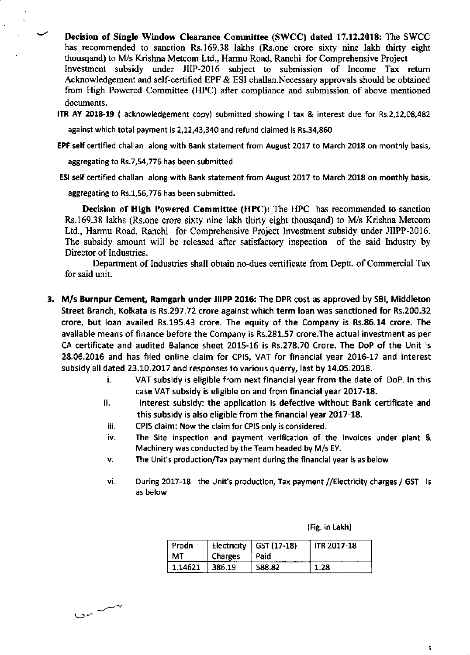Decision of Single Window Clearance Committee (SWCC) dated 17.12.2018: The SWCC has recommended to sanction Rs.169.38 lakhs (Rs.one crore sixty nine lakh thirty eight thousqand) to M/s Krishna Metcom Ltd., Harmu Road, Ranchi for Comprehensive Project Investment subsidy under JIIP-2016 subject to submission of Income Tax retum Acknowledgement and self-cenified EPF & ESI challan.Necessary approvals should be obtained from High Powered Committee (HPC) after compliance and submission of above mentioned documents.

ITR AY 2018-19 ( acknowledgement copy) submitted showing I tax & interest due for Rs.2,12,08,482

against which total payment is 2,12,43,340 and refund claimed is Rs.34,860

EPF self certified challan along with Bank statement from August 2017 to March 2018 on monthly basis,

aggregating to Rs.7,54,776 has been submitted

ESI self certified challan along with Bank statement from August 2017 to March 2018 on monthly basis,

aggregating to Rs.1,56,776 has been submitted.

Decision of High Powered Committec (HPC): The HPC has recommended to sanction Rs.169.38 lakhs (Rs, one crore sixty nine lakh thirty eight thousgand) to M/s Krishna Metcom Ltd., Harmu Road, Ranchi for Comprehensive Project Investment subsidy under JIIPP-2016. The subsidy amount will be released after satisfactory inspection of the said lndustry by Director of Industries.

Department of Industries shall obtain no-dues certificate from Deptt. of Commercial Tax for said unit.

- 3. M/s Burnpur Cement, Ramgarh under JIIPP 2016: The DPR cost as approved by SBI, Middleton Street Branch, Kolkata is Rs.297.72 crore against which term loan was sanctioned for Rs,200.32 crore, but loan availed Rs.195.43 crore. The equity of the Company is Rs.86.14 crore. The available means of finance before the Company is Rs.281.57 crore.The actual investment as per CA certificate and audited Balance sheet 2015-16 is Rs.278.70 Crore. The DoP of the Unit is 28.06.2016 and has filed online claim for CPIS, VAT for financial year 2016-17 and interest subsidy all dated 23.10.2017 and responses to various querry, last by 14.05.2018.
	- i. VAT subsidy is eligible from next financial year from the date of DoP. In this case VAT subsidy is eligible on and from financial year 2017-18.
	- ii. lnterest subsidy: the application is defective without Bank certificate and this subsidy is also eligible from the financial year  $2017-18$ .
	- iii. CPIS claim: Now the claim for CPIS only is considered.
	- iv. The Site inspection and payment verification of the lnvoices under plant & Machinery was conducted by the Team headed by M/s EY.
	- v. The Unit's production/Tax payment during the financial year is as below
	- ٧İ. During 2017-18 the Unit's production, Tax payment //Electricity charges / GST is as below

| (Fig. in Lakh) |  |  |
|----------------|--|--|
|                |  |  |

t

| Prodn<br>MT. | , Charges | Electricity   GST (17-18)<br>Paid | <b>ITR 2017-18</b> |
|--------------|-----------|-----------------------------------|--------------------|
| 1.14621      | 386.19    | 588.82                            | 1.28               |

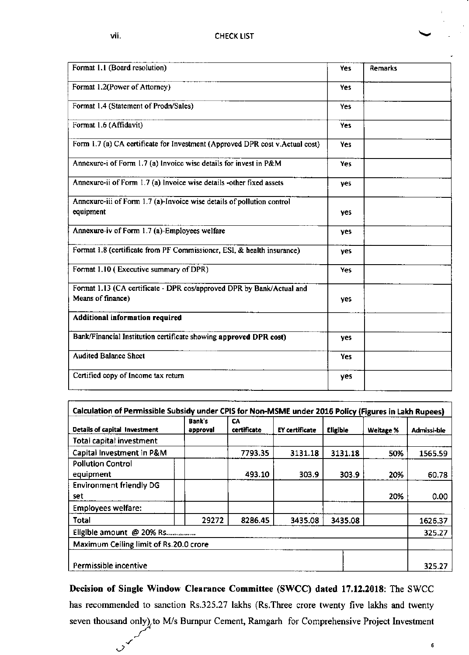$\overrightarrow{C}$ 

| Format 1.1 (Board resolution)                                                              | Yes        | Remarks |
|--------------------------------------------------------------------------------------------|------------|---------|
| Format 1.2(Power of Attorney)                                                              | <b>Yes</b> |         |
| Format 1.4 (Statement of Prodn/Sales)                                                      | Yes        |         |
| Format 1.6 (Affidavit)                                                                     | Yes        |         |
| Form 1.7 (a) CA certificate for Investment (Approved DPR cost v.Actual cost)               | Yes        |         |
| Annexure-i of Form 1.7 (a) Invoice wise details for invest in P&M                          | Yes        |         |
| Annexure-ii of Form 1.7 (a) Invoice wise details -other fixed assets                       | yes        |         |
| Annexure-iii of Form 1.7 (a)-Invoice wise details of pollution control<br>equipment        | yes        |         |
| Annexure-iv of Form 1.7 (a)-Employees welfare                                              | yes        |         |
| Format 1.8 (certificate from PF Commissioner, ESI, & health insurance)                     | ves        |         |
| Format 1.10 (Executive summary of DPR)                                                     | Yes        |         |
| Format 1.13 (CA certificate - DPR cos/approved DPR by Bank/Actual and<br>Means of finance) | yes        |         |
| Additional information required                                                            |            |         |
| Bank/Financial Institution certificate showing approved DPR cost)                          | ves        |         |
| <b>Audited Balance Sheet</b>                                                               | Yes        |         |
| Certified copy of Income tax return                                                        | yes        |         |

| Details of capital Investment          | Bank's<br>approval | СA<br>certificate | <b>EY certificate</b> | <b>Eligible</b> | Weitage % | Admissi-ble |
|----------------------------------------|--------------------|-------------------|-----------------------|-----------------|-----------|-------------|
| Total capital investment               |                    |                   |                       |                 |           |             |
| Capital Investment in P&M              |                    | 7793.35           | 3131.18               | 3131.18         | 50%       | 1565.59     |
| <b>Pollution Control</b><br>equipment  |                    | 493.10            | 303.9                 | 303.9           | 20%       | 60.78       |
| <b>Environment friendly DG</b><br>set  |                    |                   |                       |                 | 20%       | 0.00        |
| <b>Employees welfare:</b>              |                    |                   |                       |                 |           |             |
| <b>Total</b>                           | 29272              | 8286.45           | 3435.08               | 3435.08         |           | 1626.37     |
| Eligible amount @ 20% Rs               |                    |                   |                       |                 |           | 325.27      |
| Maximum Ceiling limit of Rs.20.0 crore |                    |                   |                       |                 |           |             |
| Permissible incentive                  |                    |                   |                       |                 |           | 325.27      |

Decision of Single Window Clearance Committee (SWCC) dated 17.12.2018: The SWCC has recommended to sanction Rs.325.27 lakhs (Rs.Three crore twenty five lakhs and twenty seven thousand only), to M/s Burnpur Cement, Ramgarh for Comprehensive Project Investment

6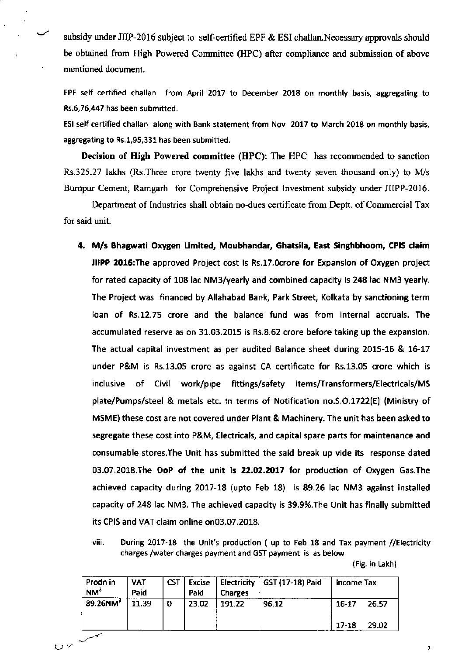subsidy under JIIP-2016 subject to self-certified EPF & ESI challan.Necessary approvals should be obtained from High Powered Committee (HPC) after compliance and submission of above mentioned document.

EPF self certified challan from April 2017 to December 2018 on monthly basis, aggregating to Rs.6,76,447 has been submitted.

ESI self certified challan along with Bank statement from Nov 2017 to March 2018 on monthly basis, aggregating to Rs.1,95,331 has been submitted.

Decision of High Powered committee (HPC): The HPC has recommended to sanction Rs.325.27 lakhs (Rs.Three crore twenty five lakhs and twenty seven thousand only) to M/s Bumpur Cement, Ramgarh for Comprehensive Project Investment subsidy under JIIPP-2016.

Department of Industries shall obtain no-dues certificate from Deptt. of Commercial Tax for said unit.

4. M/s Bhagwati Oxygen Limited, Moubhandar, Ghatsila, East Singhbhoom, CPIS claim JIIPP 2016: The approved Project cost is Rs.17.0crore for Expansion of Oxygen project for rated capacity of 108 lac NM3/yearly and combined capacity is 248lac NM3 yearly. The Project was financed by Allahabad Bank, Park Street, Kolkata by sanctioning term loan of Rs.12.75 crore and the balance fund was from internal accruals. The accumulated reserve as on 31.03.2015 is Rs.8.62 crore before taking up the expansion. The actual capital investment as per audited Balance sheet during 2015-16 & 16-17 under P&M is Rs.13.05 crore as against CA certificate for Rs.13.05 crore which is inclusive of Civil work/pipe fittings/safety items/Transformers/Electricals/MS plate/Pumps/steel & metals etc. ln terms of Notification no.5.O.1722(E) (Ministry of MSME) these cost are not covered under Plant & Machinery. The unit has been asked to segregate these cost into P&M, Electricals, and capital spare pans for maintenance and consumable stores.The Unit has submitted the said break up vide its re5ponse dated 03.07.2018.The DoP of the unit is 22.02.2017 for production of Oxygen Gas.The achieved capacity during 2017-18 (upto Feb 18) is 89.26 lac NM3 against installed capacity of 248 lac NM3. The achieved capacity is 39.g%.The Unit has flnally submitted its CPIS and VAT claim online on03.07.2018.

viii. During 2017-18 the Unit's production ( up to Feb 18 and Tax payment //Electricity charges /water charges payment and GST payment is as below

(Fig. in Lakh)

 $\overline{1}$ 

| Prodn in<br>NM <sup>3</sup> | <b>VAT</b><br>Paid | <b>CST</b> | <b>Excise</b><br>Paid | <b>Charges</b> | Electricity   GST (17-18) Paid | Income Tax     |                |
|-----------------------------|--------------------|------------|-----------------------|----------------|--------------------------------|----------------|----------------|
| $89.26$ NM <sup>3</sup>     | 11.39              | O          | 23.02                 | 191.22         | 96.12                          | 16-17<br>17-18 | 26.57<br>29.02 |

 $U$   $\sim$   $\sim$   $\sim$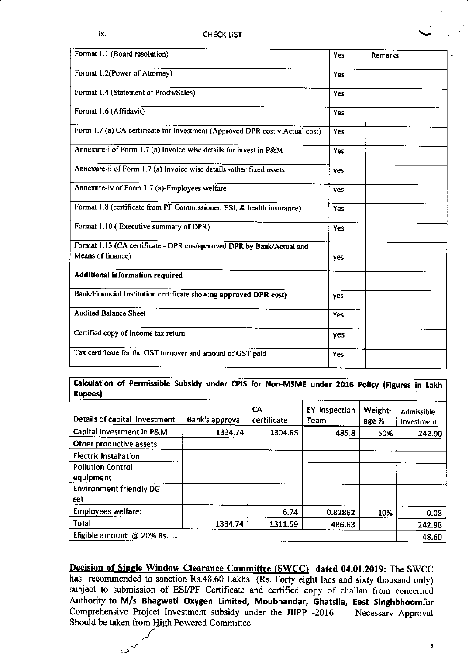| Yes        | Remarks |
|------------|---------|
| Yes        |         |
| Yes        |         |
| Yes        |         |
| Yes        |         |
| Yes        |         |
| yes        |         |
| <b>yes</b> |         |
| Yes        |         |
| Yes        |         |
| <b>ves</b> |         |
|            |         |
| ves        |         |
| <b>Yes</b> |         |
| yes        |         |
| Yes        |         |
|            |         |

Calculation of Permissible Subsidy under CPIS for Non-MSME under 2016 Policy (Figures in Lakh Rupees)

| Details of capital Investment         | Bank's approval | СA<br>certificate | <b>EY Inspection</b><br>Team | Weight-<br>age % | <b>Admissible</b><br>Investment |
|---------------------------------------|-----------------|-------------------|------------------------------|------------------|---------------------------------|
| Capital Investment in P&M             | 1334.74         | 1304.85           | 485.8                        | 50%              | 242.90                          |
| Other productive assets               |                 |                   |                              |                  |                                 |
| <b>Electric Installation</b>          |                 |                   |                              |                  |                                 |
| <b>Pollution Control</b><br>equipment |                 |                   |                              |                  |                                 |
| <b>Environment friendly DG</b><br>set |                 |                   |                              |                  |                                 |
| <b>Employees welfare:</b>             |                 | 6.74              | 0.82862                      | 10%              | 0.08                            |
| <b>Total</b>                          | 1334.74         | 1311.59           | 486.63                       |                  | 242.98                          |
| Eligible amount @ 20% Rs              |                 |                   |                              |                  | 48.60                           |

Decision of Single Window Clearance Committee (SWCC) dated 04.01.2019: The SWCC has recommended to sanction Rs.48.60 Lakhs (Rs. Forty eight lacs and sixty thousand only) subject to submission of ESI/PF Certificate and certified copy of challan from concerned Authority to M/s Bhagwati Oxygen Limited, Moubhandar, Ghatsila, East Singhbhoomfor Comprehensive Project Investment subsidy under the JIIPP -2016. Necessary Approval Should be taken from High Powered Committee.

 $\circ$ 

8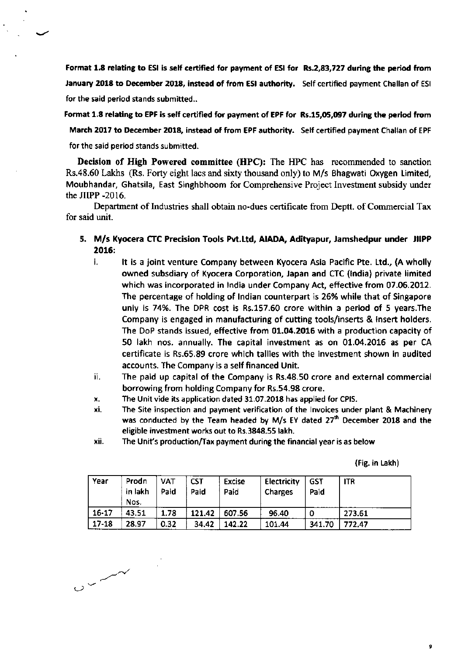Format 1.8 relating to ESI is self certified for payment of ESI for Rs.2,83,727 during the period from January 2018 to December 2018, instead of from ESI authority. Self certified payment Challan of ESI for the said period stands submitted..

Format 1.8 relating to EPF is self certified for payment of EPF for Rs.15,05,097 during the period from March 2017 to December 2018, instead of from EPF authority. Self certified payment Challan of EPF for the said period stands submitted.

Decision of High Powered committee (HPC): The HPC has recommended to sanction Rs.48.60 Lakhs (Rs. Forty eight lacs and sixty thousand only) to M/s Bhagwati Oxygen Limited, Moubhandar, Ghatsila, East Singhbhoom for Comprehensive Project Investment subsidy under the JIIPP -2016.

Departrnent of Industries shall obtain no-dues certificate ftom Deptt. of Commercial Tax for said unit.

- 5. M/s Kyocera CTC Precision Tools Pvt.Ltd, AIADA, Adityapur, Jamshedpur under JIIPP 2016:
	- i. lt is a joint venture Company between Kyocera Asia Pacific Pte. Ltd., (A wholly owned subsdiary of Kyocera Corporation, lapan and CTC (lndia) private limited which was incorporated in lndia under Company Act, effedive from 07.06.2072. The percentage of holding of lndian counterpart is 26% while that of Singapore uniy is 74%. The DPR cost is Rs.157.60 crore within a period of 5 years.The Company is engaged in manufacturing of cutting tools/inserts & insert holders. The DoP stands issued, effective from 01.04.2016 with a production capacity of 50 lakh nos. annually. The capital investment as on 01.04.2016 as per CA certificate is Rs.65.89 crore which tallies with the investment shown in audited accounts. The Company is a self financed Unit.
	- ii. The paid up capital of the Company is Rs.48.50 crore and external commercial borrowing from holding Company for Rs.54.98 crore.
	- x. The Unit vide its application dated 31.07.201E has applied for CPIS.
	- xi. The Site inspection and payment verification of the lnvoices under plant & Machinery was conducted by the Team headed by M/s EY dated 27<sup>th</sup> December 2018 and the eligible investment works out to Rs.3848.55 lakh.
	- xii. The Unit's production/Tax payment during the financial year is as below

(Fig. in takh)

 $\overline{9}$ 

| Year      | Prodn<br>in lakh<br>Nos. | <b>VAT</b><br>Paid | <b>CST</b><br>Paid | <b>Excise</b><br>Paid | <b>Electricity</b><br><b>Charges</b> | GST<br>Paid | <b>ITR</b> |
|-----------|--------------------------|--------------------|--------------------|-----------------------|--------------------------------------|-------------|------------|
| $16 - 17$ | 43.51                    | 1.78               | 121.42             | 607.56                | 96.40                                | O           | 273.61     |
| $17 - 18$ | 28.97                    | 0.32               | 34.42              | 142.22                | 101.44                               | 341.70      | 772.47     |

 $0<\frac{1}{2}$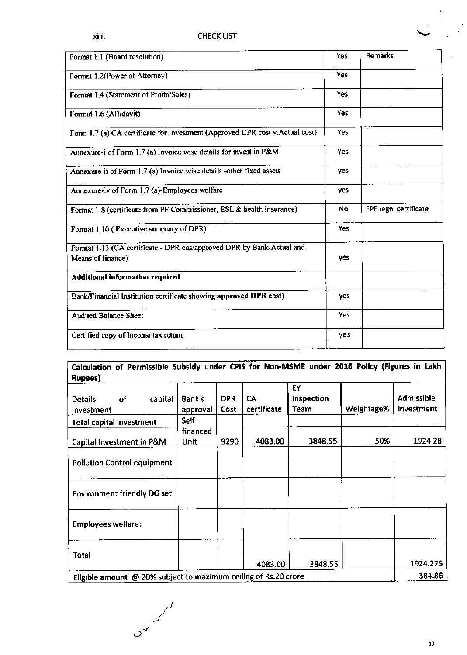| Format 1.1 (Board resolution)                                                              | <b>Yes</b> | Remarks               |
|--------------------------------------------------------------------------------------------|------------|-----------------------|
| Format 1.2(Power of Attorney)                                                              | Yes        |                       |
| Format 1.4 (Statement of Prodn/Sales)                                                      | Yes.       |                       |
| Format 1.6 (Affidavit)                                                                     | Yes        |                       |
| Form 1.7 (a) CA certificate for Investment (Approved DPR cost v.Actual cost)               | Yes        |                       |
| Annexure-i of Form 1.7 (a) Invoice wise details for invest in P&M                          | Yes        |                       |
| Annexure-ii of Form 1.7 (a) Invoice wise details -other fixed assets                       | yes        |                       |
| Annexure-iv of Form 1.7 (a)-Employees welfare                                              | yes        |                       |
| Format 1.8 (certificate from PF Commissioner, ESI, & health insurance)                     | <b>No</b>  | EPF regn. certificate |
| Format 1.10 (Executive summary of DPR)                                                     | <b>Yes</b> |                       |
| Format 1.13 (CA certificate - DPR cos/approved DPR by Bank/Actual and<br>Means of finance) | yes        |                       |
| Additional information required                                                            |            |                       |
| Bank/Financial Institution certificate showing approved DPR cost)                          | ves        |                       |
| <b>Audited Balance Sheet</b>                                                               | <b>Yes</b> |                       |
| Certified copy of Income tax return                                                        | yes        |                       |

# Calculation of Permissible Subsidy under CPIS for Non-MSME under 2016 Policy (Figures in Lakh

| of<br>capital<br><b>Details</b><br>Investment                   | Bank's<br>approval      | <b>DPR</b><br>Cost | CA<br>certificate | EY<br>Inspection<br>Team | Weightage% | <b>Admissible</b><br>Investment |
|-----------------------------------------------------------------|-------------------------|--------------------|-------------------|--------------------------|------------|---------------------------------|
| <b>Total capital investment</b>                                 | Self                    |                    |                   |                          |            |                                 |
| Capital Investment in P&M                                       | financed<br><b>Unit</b> | 9290               | 4083.00           | 3848.55                  | 50%        | 1924.28                         |
| <b>Pollution Control equipment</b>                              |                         |                    |                   |                          |            |                                 |
| <b>Environment friendly DG set</b>                              |                         |                    |                   |                          |            |                                 |
| <b>Employees welfare:</b>                                       |                         |                    |                   |                          |            |                                 |
| <b>Total</b>                                                    |                         |                    | 4083.00           | 3848.55                  |            | 1924.275                        |
| Eligible amount @ 20% subject to maximum ceiling of Rs.20 crore |                         |                    |                   |                          |            | 384.86                          |

 $\mathbb{R}$ 

 $\circ$ 

 $\frac{1}{2}$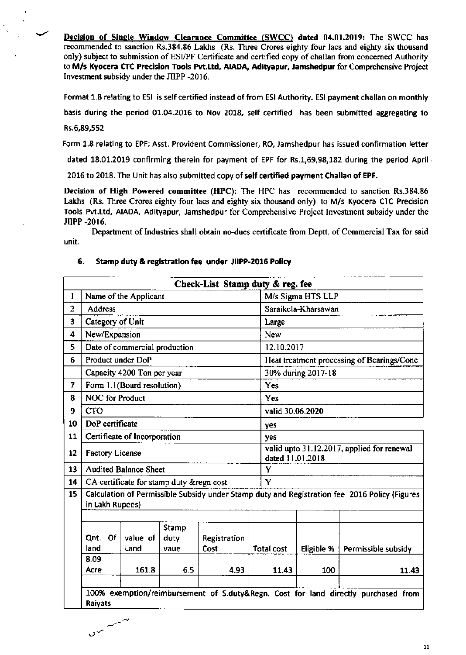Decision of Single Window Clearance Committee (SWCC) dated 04.01.2019: The SWCC has recommended to sanction Rs.384.86 Lakhs (Rs. Three Crores eighty four lacs and eighty six thousand only) subject to submission of ESI/PF Certificate and certified copy of challan from concerned Authority to M/s Kyocera CTC Precision Tools Pvt.Ltd, AIADA, Adityapur, Jamshedpur for Comprehensive Project Investment subsidy under the JIIPP -2016.

Format 1.8 relating to ESI is self certified instead of from ESI Authority. ESI payment challan on monthly

basis during the period 01.04.2016 to Nov 2018, self certified has been submitted aggregating to

### Rs.6,89,552

Form 1.8 relating to EPF: Asst. Provident Commissioner, RO, Jamshedpur has issued confirmation letter

dated 18.01.2019 confirming therein for payment of EPF for Rs.1,69,98,182 during the period April

2016 to 2018. The Unit has also submitted copy of self certified payment Challan of EPF.

Decision of High Powered committee (HPC): The HPC has recommended to sanction Rs.384.86 Lakhs (Rs. Three Crores eighty four lacs and eighty six thousand only) to M/s Kyocera CTC Precision Tools Pyt.Ltd, AIADA, Adityapur, Jamshedpur for Comprehensive Project Investment subsidy under the JIIPP -2016.

Department of Industries shall obtain no-dues certificate from Deptt. of Commercial Tax for said unit.

|                |                              |    |                                           |                              | Check-List Stamp duty & reg. fee |                            |                    |                                                                                               |  |
|----------------|------------------------------|----|-------------------------------------------|------------------------------|----------------------------------|----------------------------|--------------------|-----------------------------------------------------------------------------------------------|--|
| 1              |                              |    | Name of the Applicant                     |                              |                                  |                            | M/s Sigma HTS LLP  |                                                                                               |  |
| $\overline{2}$ | Address                      |    |                                           |                              |                                  | Saraikela-Kharsawan        |                    |                                                                                               |  |
| 3              |                              |    | Category of Unit                          |                              |                                  | Large                      |                    |                                                                                               |  |
| 4              | New/Expansion                |    |                                           |                              |                                  | New                        |                    |                                                                                               |  |
| 5              |                              |    | Date of commercial production             |                              |                                  | 12.10.2017                 |                    |                                                                                               |  |
| 6              |                              |    | Product under DoP                         |                              |                                  |                            |                    | Heat treatment processing of Bearings/Cone                                                    |  |
|                |                              |    | Capacity 4200 Ton per year                |                              |                                  |                            | 30% during 2017-18 |                                                                                               |  |
| $\overline{7}$ |                              |    | Form 1.1(Board resolution)                |                              |                                  | Yes                        |                    |                                                                                               |  |
| 8              |                              |    | <b>NOC</b> for Product                    |                              |                                  | Yes                        |                    |                                                                                               |  |
| 9              | <b>CTO</b>                   |    |                                           |                              |                                  | valid 30.06.2020           |                    |                                                                                               |  |
| 10             | DoP certificate              |    |                                           |                              |                                  | yes                        |                    |                                                                                               |  |
| 11             |                              |    | Certificate of Incorporation              |                              |                                  | yes                        |                    |                                                                                               |  |
| 12             | <b>Factory License</b>       |    |                                           |                              |                                  | dated 11.01.2018           |                    | valid upto 31.12.2017, applied for renewal                                                    |  |
| 13             |                              |    | <b>Audited Balance Sheet</b>              |                              |                                  | Y                          |                    |                                                                                               |  |
| 14             |                              |    | CA certificate for stamp duty & regn cost |                              |                                  | Y                          |                    |                                                                                               |  |
| 15             | in Lakh Rupees)              |    |                                           |                              |                                  |                            |                    | Calculation of Permissible Subsidy under Stamp duty and Registration fee 2016 Policy (Figures |  |
|                | Qnt.<br>land<br>8.09<br>Acre | Of | value of<br>Land<br>161.8                 | Stamp<br>duty<br>vaue<br>6.5 | Registration<br>Cost<br>4.93     | <b>Total cost</b><br>11.43 | Eligible %<br>100  | Permissible subsidy<br>11.43                                                                  |  |
|                | Raiyats                      |    |                                           |                              |                                  |                            |                    | 100% exemption/reimbursement of S.duty&Regn. Cost for land directly purchased from            |  |

#### 6. Stamp duty & registration fee under JIIPP-2016 Policy

سىسىسى بىر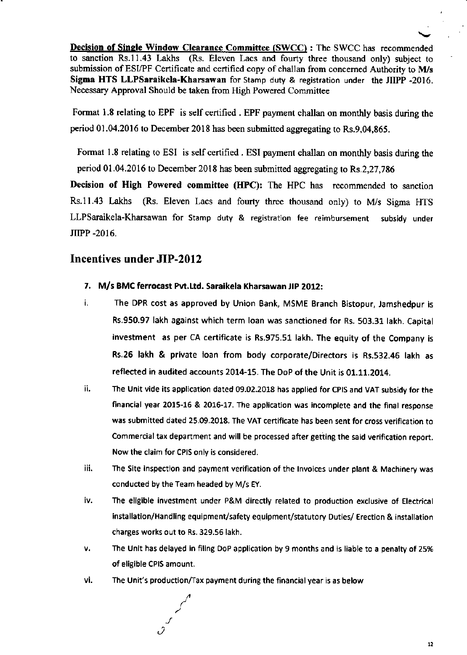Decision of Single Window Clearance Committee (SWCC) : The SWCC has recommended to sanction Rs.ll.43 Laths (Rs. Eleven Lacs and fourty three rhousand only) subject to submission of ESI/PF Certificate and certified copy of challan from concerned Authority to M/s Sigma HTS LLPSaraikela-Kharsawan for Stamp duty & registration under the JIIPP -2016. Necessary Approval Should be taken from High Powered Committee

Format I.8 relating to EPF is self certified . EPF paynent challan on monthly basis during the period  $01.04.2016$  to December 2018 has been submitted aggregating to Rs.9,04,865.

Format 1.8 relating to ESI is self certified. ESI payment challan on monthly basis during the period 01.04.2016 to December 2018 has been submitted aggregating to Rs.2,27,786

Decision of High Powered committee (HPC): The HPC has recommended to sanction Rs.11.43 Lakhs (Rs. Eleven Lacs and fourty three thousand only) to M/s Sigma HTS LLPSaraikela-Kharsawan for Stamp duty & registration fee reimbursement subsidy under JIIPP.2OI6,

# Incentives under JIP-2012

- 7. M/s BMC ferrocast Pvt. Ltd. Saraikela Kharsawan JIP 2012:
- i. The DPR cost as approved by Union Bank, MSME Branch Bistopur, Jamshedpur is Rs.950.97 lakh against which term loan was sanctioned for Rs. 503.31 lakh. Capital investment as per CA certificate is Rs.975.51 lakh. The equity of the Company is Rs.26 lakh & private loan from body corporate/Directors is Rs.532.46 lakh as reflected in audited accounts 2014-15. The Dop of the Unit is 01.11.2014.
- ii. The Unit vide its application dated 09.02.2018 has applied for CPIS and VAT subsidy for the financial year 2015-15 & 2016-17. The application was incomplete and the final response was submitted dated 25.09.2018. The VAT certificate has been sent for cross veriflcation to Commercial tax department and will be processed after getting the said verification report. Nowthe claim for CPlSonly is considered.
- iii. The Site inspection and payment verification of the Invoices under plant & Machinery was conducted by the Team headed by M/s EY.
- The eligible investment under P&M directly related to production exclusive of Electrical iv. installation/Handling equipment/safety equipment/statutory Duties/ Erection & installation charges works out to Rs.329.56 lakh.
- v. The Unit has delayed in filing DoP application by 9 months and is liable to a penalty of 25% of eligible CPIS amount.
- vi. The Unit's production/Tax payment during the financial year is as below

J

r2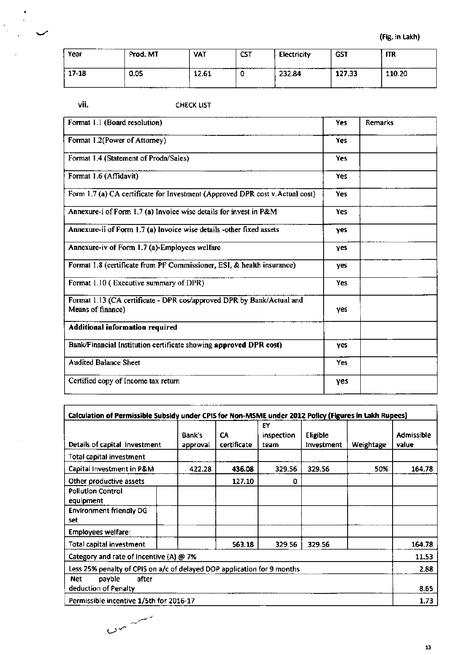| ----<br>__<br>Year | Prod. MT | <b>VAT</b><br>---- | <b>CST</b> | Electricity | <b>GST</b>            | <b>ITR</b> |
|--------------------|----------|--------------------|------------|-------------|-----------------------|------------|
| 17-18              | 0.05     | 12.61              | __________ | 232.84      | 127.33<br>----------- | 110.20     |

vii.

 $\sim$ 

# **CHECK LIST**

| Format 1.1 (Board resolution)                                                              | Yes        | Remarks |
|--------------------------------------------------------------------------------------------|------------|---------|
| Format 1.2(Power of Attorney)                                                              | <b>Yes</b> |         |
| Format 1.4 (Statement of Prodn/Sales)                                                      | Yes        |         |
| Format 1.6 (Affidavit)                                                                     | <b>Yes</b> |         |
| Form 1.7 (a) CA certificate for Investment (Approved DPR cost v.Actual cost)               | <b>Yes</b> |         |
| Annexure-i of Form 1.7 (a) Invoice wise details for invest in P&M                          | Yes        |         |
| Annexure-ii of Form 1.7 (a) Invoice wise details -other fixed assets                       | <b>yes</b> |         |
| Annexure-iv of Form 1.7 (a)-Employees welfare                                              | yes        |         |
| Format 1.8 (certificate from PF Commissioner, ESI, & health insurance)                     | yes        |         |
| Format 1.10 (Executive summary of DPR)                                                     | Yes        |         |
| Format 1.13 (CA certificate - DPR cos/approved DPR by Bank/Actual and<br>Means of finance) | ves        |         |
| Additional information required                                                            |            |         |
| Bank/Financial Institution certificate showing approved DPR cost)                          | yes        |         |
| <b>Audited Balance Sheet</b>                                                               | <b>Yes</b> |         |
| Certified copy of Income tax return                                                        | yes        |         |

| Calculation of Permissible Subsidy under CPIS for Non-MSME under 2012 Policy (Figures in Lakh Rupees) |                    |                   |                                 |                        |           |                            |
|-------------------------------------------------------------------------------------------------------|--------------------|-------------------|---------------------------------|------------------------|-----------|----------------------------|
| Details of capital Investment                                                                         | Bank's<br>approval | CA<br>certificate | <b>EY</b><br>inspection<br>team | Eligible<br>Investment | Weightage | <b>Admissible</b><br>value |
| Total capital investment                                                                              |                    |                   |                                 |                        |           |                            |
| Capital Investment in P&M                                                                             | 422.28             | 436.08            | 329.56                          | 329.56                 | 50%       | 164.78                     |
| Other productive assets                                                                               |                    | 127.10            | 0                               |                        |           |                            |
| <b>Pollution Control</b><br>equipment                                                                 |                    |                   |                                 |                        |           |                            |
| <b>Environment friendly DG</b><br>set                                                                 |                    |                   |                                 |                        |           |                            |
| <b>Employees welfare:</b>                                                                             |                    |                   |                                 |                        |           |                            |
| Total capital investment                                                                              |                    | 563.18            | 329.56                          | 329.56                 |           | 164.78                     |
| Category and rate of Incentive (A) @ 7%                                                               |                    |                   |                                 |                        |           | 11.53                      |
| Less 25% penalty of CPIS on a/c of delayed DOP application for 9 months                               |                    |                   |                                 |                        |           | 2.88                       |
| after<br>payble<br>Net                                                                                |                    |                   |                                 |                        |           |                            |
| deduction of Penalty                                                                                  |                    |                   |                                 |                        |           | 8.65                       |
| Permissible incentive 1/5th for 2016-17                                                               |                    |                   |                                 |                        |           | 1.73                       |

 $C_{\infty}$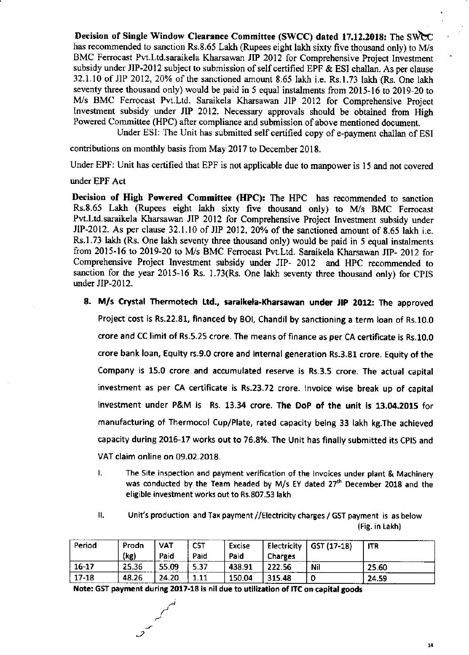Decision of Single Window Clearance Committee (SWCC) dated 17.12.2018: The SWCC has recommended to sanction Rs.8.65 Lakh (Rupees eight lakh sixty five thousand only) to M/s BMC Ferrocast Pvt.Ltd.saraikela Kharsawan JIP 2012 for Comprehensive Project Investment subsidy under JIP-2012 subject to submission of self certified EPF & ESI challan. As per clause 32.1.10 of JIP 2012,20% of the sanctioned amount 8.65 lakh i.e. Rs.l.73 lakh (Rs. One laki seventy three thousand only) would be paid in 5 equal instalments from 2015-16 to 2019-20 to M/s BMC Ferrocast Pvt.Ltd. Saraikela Kharsawan JIP 2012 for Comprehensive Project Investment subsidy under JIP 2012. Necessary approvals should be obtained from High Powered Committee (HPC) after compliance and submission of above mentioned document.

Under ESI: The Unit has submitted self certified copy of e-payment challan of ESI

contributions on monthly basis from May 2017 to December 2018.

Under EPF: Unit has certified that EPF is not applicable due to manpower is l5 and not covered

under EPF Act

Decision of High Powered Committee (HPC): The HPC has recommended to sanction Rs.8.65 Lakh (Rupees eight lakh sixty five thousand only) to M/s BMC Ferrocast Pvt.Ltd.saraikela Kharsawan JIP 2012 for Comprehensive Project Investment subsidy under JIP-2012. As per clause 32.1.10 of JIP 2012, 20% of the sanctioned amount of 8.65 lakh i.e. Rs.l.73 lakh (Rs. One lakh seventy three thousand only) would be paid in 5 equal instalments from 2015-16 to 2019-20 to M/s BMC Ferrocast Pvt.Ltd. Saraikela Kharsawan JIP- 2012 for Comprehensive Project Investment subsidy under JIP- 2012 and HPC recommended to sanction for the year 2015-16 Rs. 1.73(Rs. One lakh seventy three thousand only) for CPIS under JIP-2012.

- 8. M/s Crystal Thermotech Ltd., saraikela-Kharsawan under JIP 2012: The approved Project cost is Rs.22.81, financed by BOI, Chandil by sanctioning a term loan of Rs.10.0 crore and CC limit of Rs.5.25 crore. The means of finance as per CA certificate is Rs.1O.O crore bank loan, Equity rs.9.0 crore and internal generation Rs.3.81 crore. Equity of the Company is 15.0 crore and accumulated reserve is Rs.3.5 crore. The actual capital investment as per CA certificate is Rs.23.72 crore. Invoice wise break up of capital investment under P&M is Rs. 13.34 crore. The DoP of the unit is 13.04.2015 for manufacturing of Thermocol Cup/Plate, rated capacity being 33 lakh kg.The achieved capacity during 2016-17 works out to 76.8%. The Unit has finally submitted its CPIS and VAT claim online on 09.02.2018.
	- L The Site inspection and payment verification of the lnvoices under plant & Machinery was conducted by the Team headed by M/s EY dated  $27<sup>th</sup>$  December 2018 and the eligible investment works out to Rs.807.53 lakh
	- Unit's production and Tax payment //Electricity charges / GST payment is as below (Fig. in takh)  $II$ .

| Period    | Prodn | VAT   | <b>CST</b> | Excise | Electricity    | GST (17-18) | <b>ITR</b> |
|-----------|-------|-------|------------|--------|----------------|-------------|------------|
|           | (kg)  | Paid  | Paid       | Paid   | <b>Charges</b> |             |            |
| $16 - 17$ | 25.36 | 55.09 | 5.37       | 438.91 | 222.56         | Nil         | 25.60      |
| $17 - 18$ | 48.26 | 24.20 | 1.11       | 150.04 | 315.48         |             | 24.59      |

Note: GST payment during 2017-18 is nil due to utilization of ITC on capital goods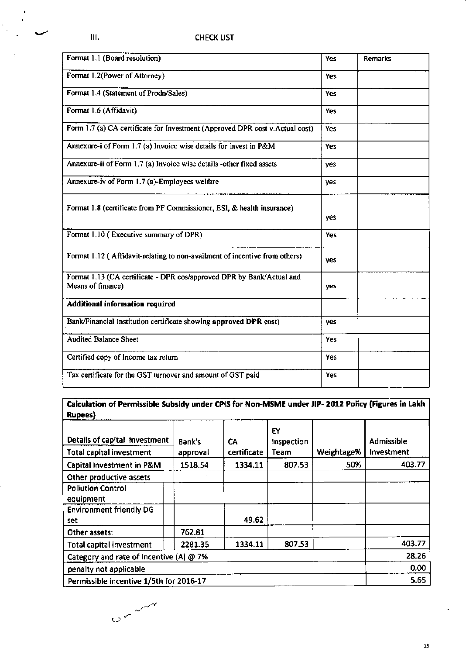$\bullet$ 

| Format 1.1 (Board resolution)                                                              | Yes        | <b>Remarks</b> |
|--------------------------------------------------------------------------------------------|------------|----------------|
| Format 1.2(Power of Attorney)                                                              | Yes        |                |
| Format 1.4 (Statement of Prodn/Sales)                                                      | <b>Yes</b> |                |
| Format 1.6 (Affidavit)                                                                     | Yes        |                |
| Form 1.7 (a) CA certificate for Investment (Approved DPR cost v.Actual cost)               | <b>Yes</b> |                |
| Annexure-i of Form 1.7 (a) Invoice wise details for invest in P&M                          | Yes        |                |
| Annexure-ii of Form 1.7 (a) Invoice wise details -other fixed assets                       | yes        |                |
| Annexure-iv of Form 1.7 (a)-Employees welfare                                              | <b>yes</b> |                |
| Format 1.8 (certificate from PF Commissioner, ESI, & health insurance)                     | yes        |                |
| Format 1.10 (Executive summary of DPR)                                                     | Yes        |                |
| Format 1.12 (Affidavit-relating to non-availment of incentive from others)                 | yes        |                |
| Format 1.13 (CA certificate - DPR cos/approved DPR by Bank/Actual and<br>Means of finance) | yes        |                |
| <b>Additional information required</b>                                                     |            |                |
| Bank/Financial Institution certificate showing approved DPR cost)                          | yes        |                |
| <b>Audited Balance Sheet</b>                                                               | Yes        |                |
| Certified copy of Income tax return                                                        | Yes        |                |
| Tax certificate for the GST turnover and amount of GST paid                                | Yes        |                |

## Calculation of Permissible Subsidy under CPIS for Non-MSME under JIP- 2012 Policy (Figures in Lakh Rupees)

| . <b>.</b> ,                            |          |             |                  |            |                   |
|-----------------------------------------|----------|-------------|------------------|------------|-------------------|
| Details of capital investment           | Bank's   | CА          | EY<br>Inspection |            | Admissible        |
| <b>Total capital investment</b>         | approval | certificate | Team             | Weightage% | <b>Investment</b> |
| Capital Investment in P&M               | 1518.54  | 1334.11     | 807.53           | 50%        | 403.77            |
| Other productive assets                 |          |             |                  |            |                   |
| <b>Pollution Control</b><br>equipment   |          |             |                  |            |                   |
| <b>Environment friendly DG</b><br>set   |          | 49.62       |                  |            |                   |
| Other assets:                           | 762.81   |             |                  |            |                   |
| <b>Total capital investment</b>         | 2281.35  | 1334.11     | 807.53           |            | 403.77            |
| Category and rate of Incentive (A) @ 7% |          |             |                  |            | 28.26             |
| penalty not applicable                  |          |             |                  |            | 0.00              |
| Permissible incentive 1/5th for 2016-17 |          |             |                  |            | 5.65              |

 $0<sup>2</sup>$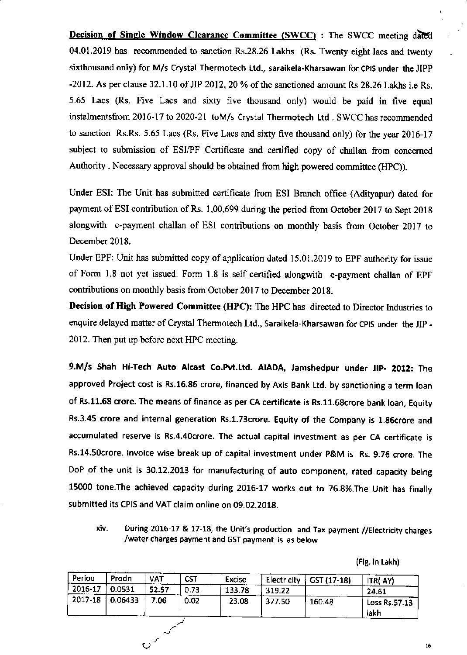Decision of Single Window Clearance Committee (SWCC) : The SWCC meeting dated 04.01.2019 has recommended to sanction Rs.28.26 Lakhs (Rs. Twenty eight lacs and twenty sixthousand only) for M/s Crystal Thermotech Ltd., saraikela-Kharsawan for CPIS under the JIPP  $-2012$ . As per clause 32.1.10 of JIP 2012, 20 % of the sanctioned amount Rs 28.26 Lakhs i.e Rs. 5.65 Lacs (Rs. Five Lacs and sixty five thousand only) would be paid in five equal instalmentsfrom 2016-17 to 2020-21 toM/s Crystal Thermotech Ltd . SWCC has recommended to sanction Rs.Rs. 5.65 Lacs (Rs. Five Lacs and sixty five thousand only) for the year 2016-17 subject to submission of ESI/PF Certificate and certified copy of challan from concerned Authority . Necessary approval should be obtained from high powered committee (HPC)).

Under ESI: The Unit has submitted certificate ftom ESI Branch office (Adityapur) dated for payment of ESI contribution of Rs. 1,00,699 during the period from October 2017 to Sept 2018 alongwith e-payment challan of ESI contributions on monthly basis from October 2017 to December 2018.

Under EPF: Unit has submitted copy of application dated 15.01.2019 to EPF authority for issue of Form 1.8 not yet issued. Form 1.8 is self cenified alongwith e-payment challan of EpF contributions on monthly basis from October 2017 to December 2018.

Decision of High Powered Committee (HPC): The HPC has directed to Director Industries to enquire delayed matter of Crystal Thermotech Ltd., Saraikela-Kharsawan for CPIS under the JIP -2012. Then put up before next HPC meeting.

9.M/s Shah Hi-Tech Auto Alcast Co.Pvt.Ltd. AIADA, Jamshedpur under JIP- 2012: The approved Project cost is Rs.16.86 crore, financed by Axis Bank Ltd. by sanctioning a term loan of Rs.11.68 crore. The means of finance as per CA certificate is Rs.11.68crore bank loan, Equity Rs.3.45 crore and internal generation Rs.1.73crore. Equity of the Company is 1.86crore and accumulated reserve is Rs.4.40crore. The actual capital investment as per CA certificate is Rs.14.socrore. lnvoice wise break up of capital investment under p&M is Rs. 9.78 crore. The DoP of the unit is 30.12.2013 for manufacturing of auto component, rated capacity being 15000 tone. The achieved capacity during 2016-17 works out to 76.8%. The Unit has finally submitted its CPIS and VAT claim online on 09.02.2018.

During 2016-17 & 17-18, the Unit's production and Tax payment //Electricity charges xiv. /water charges payment and GST payment is as below

(Fig. in Lakh)

| Period  | Prodn   | VAT   | <b>CST</b> | Excise | Electricity | GST (17-18) | ITR(AY)               |
|---------|---------|-------|------------|--------|-------------|-------------|-----------------------|
| 2016-17 | 0.0531  | 52.57 | 0.73       | 133.78 | 319.22      |             | 24.61                 |
| 2017-18 | 0.06433 | 7.06  | 0.02       | 23.08  | 377.50      | 160.48      | Loss Rs.57.13<br>lakh |
|         |         | ٮہ    |            |        |             |             |                       |
|         |         | ్ల    |            |        |             |             |                       |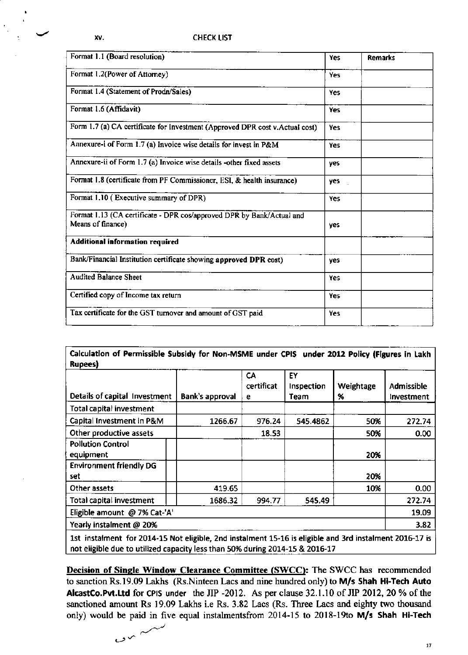| Format 1.1 (Board resolution)                                                              | <b>Yes</b> | Remarks |
|--------------------------------------------------------------------------------------------|------------|---------|
| Format 1.2(Power of Attorney)                                                              | <b>Yes</b> |         |
| Format 1.4 (Statement of Prodn/Sales)                                                      | <b>Yes</b> |         |
| Format 1.6 (Affidavit)                                                                     | <b>Yes</b> |         |
| Form 1.7 (a) CA certificate for Investment (Approved DPR cost v.Actual cost)               | Yes        |         |
| Annexure-i of Form 1.7 (a) Invoice wise details for invest in P&M                          | Yes        |         |
| Annexure-ii of Form 1.7 (a) Invoice wise details -other fixed assets                       | yes        |         |
| Format 1.8 (certificate from PF Commissioner, ESI, & health insurance)                     | yes        |         |
| Format 1.10 (Executive summary of DPR)                                                     | Yes.       |         |
| Format 1.13 (CA certificate - DPR cos/approved DPR by Bank/Actual and<br>Means of finance) | yes        |         |
| Additional information required                                                            |            |         |
| Bank/Financial Institution certificate showing approved DPR cost)                          | ves        |         |
| <b>Audited Balance Sheet</b>                                                               | <b>Yes</b> |         |
| Certified copy of Income tax return                                                        | <b>Yes</b> |         |
| Tax certificate for the GST turnover and amount of GST paid                                | Yes        |         |

Calculation of Permissible Subsidy for Non-MSME under CPIS under 2012 Policy (Figures in Lakh **Rupees**)

| Details of capital Investment         | Bank's approval | CA<br>certificat<br>е | EY<br>Inspection<br>Team | Weightage<br>$\%$ | Admissible<br>Investment |  |
|---------------------------------------|-----------------|-----------------------|--------------------------|-------------------|--------------------------|--|
| Total capital investment              |                 |                       |                          |                   |                          |  |
| Capital Investment in P&M             | 1266.67         | 976.24                | 545.4862                 | 50%               | 272.74                   |  |
| Other productive assets               |                 | 18.53                 |                          | 50%               | 0.00                     |  |
| <b>Pollution Control</b><br>equipment |                 |                       |                          | 20%               |                          |  |
| <b>Environment friendly DG</b><br>set |                 |                       |                          | 20%               |                          |  |
| Other assets                          | 419.65          |                       |                          | 10%               | 0.00                     |  |
| Total capital investment              | 1686.32         | 994.77                | 545.49                   |                   | 272.74                   |  |
| Eligible amount @ 7% Cat-'A'          |                 |                       |                          |                   |                          |  |
| Yearly instalment @ 20%               |                 |                       |                          |                   | 3.82                     |  |

1st instalment for 2014-15 Not eligible, 2nd instalment 15-16 is eligible and 3rd instalment 2016-17 is not eligible due to utilized capacity less than 50% during 2014-15 & 2016-17

**Decision of Single Window Clearance Committee (SWCC):** The SWCC has recommended to sanction Rs.19.09 Lakhs (Rs.Ninteen Lacs and nine hundred only) to M/s Shah Hi-Tech Auto AlcastCo.Pvt.Ltd for CPIS under the JIP -2012. As per clause 32.1.10 of JIP 2012, 20 % of the sanctioned amount Rs 19.09 Lakhs i.e Rs. 3.82 Lacs (Rs. Three Lacs and eighty two thousand only) would be paid in five equal instalmentsfrom 2014-15 to 2018-19to M/s Shah Hi-Tech

 $\sim$   $\sim$   $\sim$ 

 $17$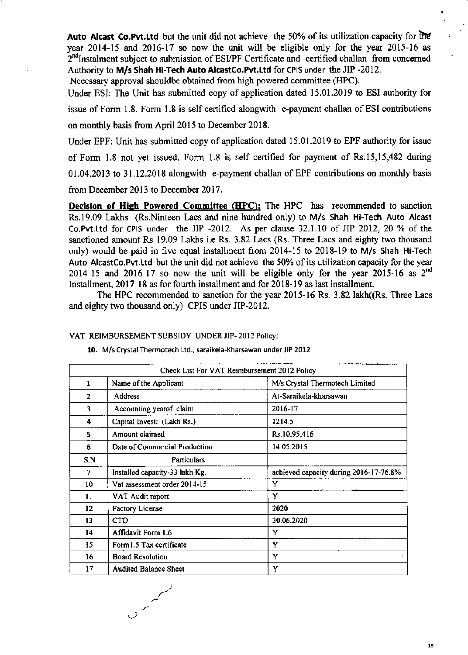Auto Alcast Co.Pvt.Ltd but the unit did not achieve the 50% of its utilization capacity for the year 2014-15 and 2016-17 so now the unit will be eligible only for the year 2015-16 as  $2<sup>nd</sup>$ Instalment subject to submission of ESI/PF Certificate and certified challan from concerned Authority to M/s Shah Hi-Tech Auto AlcastCo.Pvt.Ltd for CPIS under the JIP-2012.

Necessary approval shouldbe obtained from high powered committee (HPC).

Under ESI: The Unit has submitted copy of application dated 15.01.2019 to ESI authority for issue of Form  $1.8$ . Form  $1.8$  is self certified alongwith e-payment challan of ESI contributions on monthly basis from April 2015 to December 2018.

Under EPF: Unit has submifted copy of application dared I5.01.2019 to EPF authority for issue

of Form 1.8 not yet issued. Form 1.8 is self certified for payment of Rs.15,15,482 during

01.04.2013 to 31.12.2018 alongwith e-paynent challan ofEPF contributions on monthly basis

from December 2013 to December 2017.

Decision of High Powered Committee (HPC): The HPC has recommended to sanction Rs.19.09 Lalhs (Rs.Ninteen Lacs and nine hundred only) to M/s Shah Hi-Tech Auto Alcast Co.Pvt.Ltd for cPls under the JIP -2012. As per clause 32.1.10 of JIP 2012,20 % of the sanctioned amount Rs 19.09 Lakhs i.e Rs. 3.82 Lacs (Rs. Three Lacs and eighty two thousand only) would be paid in five equal installment from 2014-15 to 2018-19 to M/s shah Hi-Tech Auto AlcastCo.Pvt.1td but the unit did not achieve the 50% of its utilization capacity for the year 2014-15 and 2016-17 so now the unit will be eligible only for the year 2015-16 as  $2<sup>nd</sup>$ Installment, 2017-18 as for fourth installment and for 2018-19 as last installment.

The HPC recommended to sanction for the year 2015-16 Rs. 3.82 lakh((Rs. Three Lacs and eighty two thousand only) CPIS under JIP-2012.

vAT REIMBURSEMENT SUBSIDY UNDER JIP- 2012 Policyi

|     | Check List For VAT Reimbursement 2012 Policy |                                        |
|-----|----------------------------------------------|----------------------------------------|
| 1   | Name of the Applicant                        | M/s Crystal Thermotech Limited         |
| 2   | <b>Address</b>                               | At-Saraikela-kharsawan                 |
| 3   | Accounting yearof claim                      | 2016-17                                |
| 4   | Capital Invest: (Lakh Rs.)                   | 1214.5                                 |
| 5   | Amount claimed                               | Rs.10,95,416                           |
| 6.  | Date of Commercial Production                | 14.05.2015                             |
| S.N | <b>Particulars</b>                           |                                        |
| 7   | Installed capacity-33 lakh Kg.               | achieved capacity during 2016-17-76.8% |
| 10  | Vat assessment order 2014-15                 | Y                                      |
| 11  | VAT Audit report                             | Y                                      |
| 12  | <b>Factory License</b>                       | 2020                                   |
| 13  | <sub>CTO</sub>                               | 30.06.2020                             |
| 14  | Affidavit Form 1.6                           | Y                                      |
| 15  | Form I.5 Tax certificate                     | Y                                      |
| 16  | <b>Board Resolution</b>                      | Y                                      |
| 17  | <b>Audited Balance Sheet</b>                 | Y                                      |

10. M/s Crystal Thermotech ttd., saraikela-Kharsawan underJlP 2012

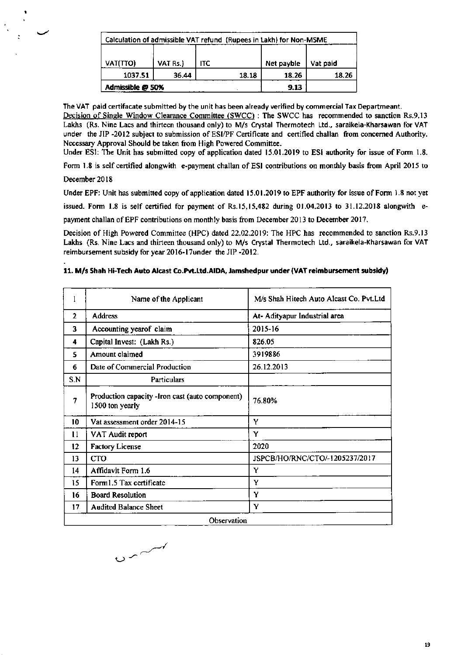| Calculation of admissible VAT refund (Rupees in Lakh) for Non-MSME |          |      |       |            |          |  |
|--------------------------------------------------------------------|----------|------|-------|------------|----------|--|
|                                                                    |          |      |       |            |          |  |
| VAT(TTO)                                                           | VAT Rs.) | ITC  |       | Net payble | Vat paid |  |
| 1037.51                                                            | 36.44    |      | 18.18 | 18.26      | 18.26    |  |
| Admissible @ 50%                                                   |          | 9.13 |       |            |          |  |

The VAT paid certifacate submitted by the unit has been already verified by commercial Tax Departmeant. Decision of Single Window Clearance Committee (SWCC) : The SWCC has recommended to sanction Rs.9.13 Lakhs (Rs. Nine Lacs and thirteen thousand only) to M/s Crystal Thermotech Ltd., saraikela-Kharsawan for VAT under the JIP -2012 subject to submission of ESI/PF Certificate and certified challan from concerned Authority. Necessary Approval Should be taken from High Powered Committee.

Under ESI: The Unit has submitted copy of application dated 15.01.2019 to ESI authority for issue of Form 1.8.

Form 1.8 is self certified alongwith e-payment challan of ESI contributions on monthly basis from April 2015 to

December 2018

Under EPF: Unit has submitted copy of application dated 15.01.2019 to EPF authority for issue of Form 1.8 not yet issued. Form 1.8 is self certified for payment of Rs.15,15,482 during 01.04.2013 to 31.12.2018 alongwith epayment challan of EPF contributions on monthly basis from December 2013 to December 2017.

Decision of High Powered Committee (HPC) dated 22.02.2019: The HPC has recommended to sanction Rs.9.13 Lakhs (Rs. Nine Lacs and thirteen thousand only) to M/s Crystal Thermotech Ltd., saraikela-Kharsawan for VAT reimbursement subsidy for year 2016-17under the JIP -2012.

## 11. M/s Shah Hi-Tech Auto Alcast Co.Pvt.Ltd.AIDA, Jamshedpur under (VAT reimbursement subsidy)

| 1              | Name of the Applicant                                               | M/s Shah Hitech Auto Alcast Co. Pvt.Ltd |
|----------------|---------------------------------------------------------------------|-----------------------------------------|
| $\overline{2}$ | <b>Address</b>                                                      | At- Adityapur Industrial area           |
| 3              | Accounting yearof claim                                             | 2015-16                                 |
| 4              | Capital Invest: (Lakh Rs.)                                          | 826.05                                  |
| 5              | Amount claimed                                                      | 3919886                                 |
| 6              | Date of Commercial Production                                       | 26.12.2013                              |
| S.N            | Particulars                                                         |                                         |
| 7              | Production capacity - Iron cast (auto component)<br>1500 ton yearly | 76.80%                                  |
| 10             | Vat assessment order 2014-15                                        | Y                                       |
| 11             | VAT Audit report                                                    | Y                                       |
| 12             | <b>Factory License</b>                                              | 2020                                    |
| 13             | <b>CTO</b>                                                          | JSPCB/HO/RNC/CTO/-1205237/2017          |
| 14             | Affidavit Form 1.6                                                  | Y                                       |
| 15             | Form1.5 Tax certificate                                             | Y                                       |
| 16             | <b>Board Resolution</b>                                             | Y                                       |
| 17             | <b>Audited Balance Sheet</b>                                        | Y                                       |
|                | Observation                                                         |                                         |

 $0<sub>0</sub>$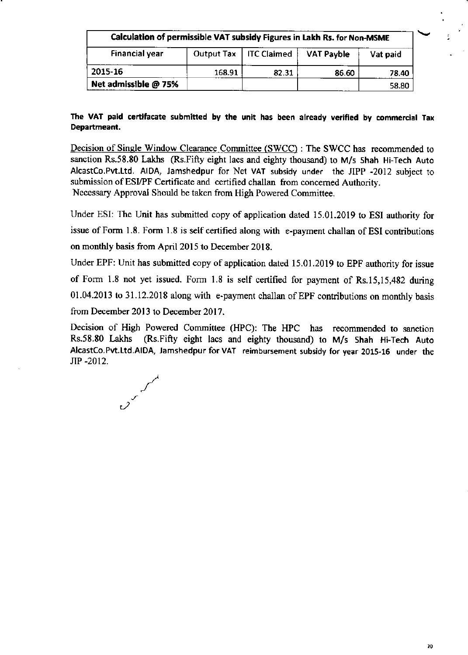| Calculation of permissible VAT subsidy Figures in Lakh Rs. for Non-MSME |        |                          |                   |          |  |  |
|-------------------------------------------------------------------------|--------|--------------------------|-------------------|----------|--|--|
| <b>Financial year</b>                                                   |        | Output Tax   ITC Claimed | <b>VAT Payble</b> | Vat paid |  |  |
| 2015-16                                                                 | 168.91 | 82.31                    | 86.60             | 78.40    |  |  |
| Net admissible @ 75%                                                    |        |                          |                   | 58.80    |  |  |

# The VAT paid certifacate submitted by the unit has been already verified by commercial Tax Departmeant.

Decision of Single Window Clearance Committee (SWCC) : The SWCC has recommended to sanction Rs.58.80 Lakhs (Rs.Fifty eight lacs and eighty thousand) to M/s Shah Hi-Tech Auto AlcastCo.Pvt.Ltd. AIDA, Jamshedpur for Net VAT subsidy under the JIPP -2012 subject to submission of ESI/PF Certificate and certified challan from concemed Authority. Necessary Approval Should be taken from High Powered Committee.

Under ESI: The Unit has submitted copy of application dated 15.01.2019 to ESI authority for issue of Form 1.8. Form 1.8 is self certified along with e-payment challan of ESI contributions on morthly basis from April 2015 to December 2018.

Under EPF: Unit has submitted copy of application dated 15.01.2019 to EPF authority for issue of Form 1.8 not yet issued. Form 1.8 is self certified for payment of Rs.15,15,482 during 01.04.2013 to 31.12.2018 along with e-payment challan of EPF contributions on monthly basis from December 2013 to December 2017.

Decision of High Powered Committee (HPC): The HPC has recommended to sanction Rs.58.80 Lakhs (Rs.Fifty eight lacs and eighty thousand) to M/s Shah Hi-Tech Auto  $(Rs.Fiffy eight$  lacs and eighty thousand) to M/s Shah Hi-Tech Auto Alcastco.Pvt.Ltd.AlDA, Jamshedpur for VAT reimbursement subsidy for year 2O1S-16 under the JIP -2012.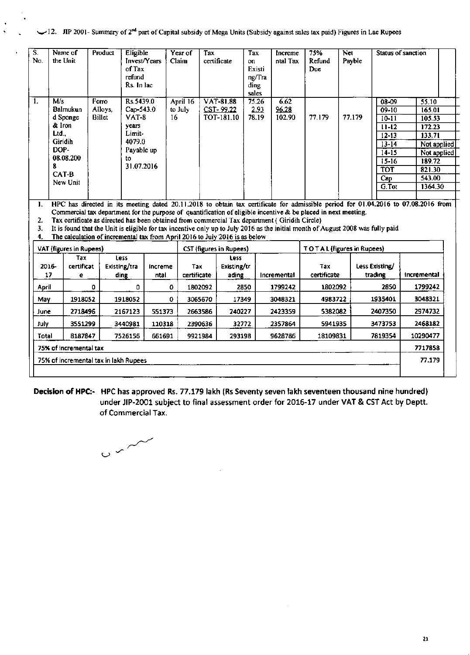UI2. JIP 2001- Summary of 2<sup>nd</sup> part of Capital subsidy of Mega Units (Subsidy against sales tax paid) Figures in Lac Rupees

| $\overline{\mathbf{s}}$ .<br>No.      | Name of<br>the Unit                                                                                    | Product                           | Eligible<br>Invest/Years<br>of Tax<br>refund<br>Rs. In lac                                                                                                                   |                 | Tax<br>Year of<br>Claim | certificate                                 | Tax<br>on<br>Existi<br>ng/Tra<br>ding<br>sales | Increme<br>ntal Tax     | 75%<br>Refund<br>Due                                                                                                                                                                                                                              | Net<br>Payble |                                                                                                                                  | <b>Status of sanction</b>                                                                                                          |  |
|---------------------------------------|--------------------------------------------------------------------------------------------------------|-----------------------------------|------------------------------------------------------------------------------------------------------------------------------------------------------------------------------|-----------------|-------------------------|---------------------------------------------|------------------------------------------------|-------------------------|---------------------------------------------------------------------------------------------------------------------------------------------------------------------------------------------------------------------------------------------------|---------------|----------------------------------------------------------------------------------------------------------------------------------|------------------------------------------------------------------------------------------------------------------------------------|--|
| $\mathbf{1}$ .                        | M/s<br>Balmukun<br>d Sponge<br>& Iron<br>Ltd<br>Giridih<br>DOP-<br>08.08.200<br>8<br>CAT-B<br>New Unit | Ferro<br>Alloys,<br><b>Billet</b> | Rs.5439.0<br>Cap-543.0<br><b>VAT-8</b><br>years<br>Limit-<br>4079.0<br>Payable up<br>to<br>31.07.2016                                                                        | 16              | April 16<br>to July     | <b>VAT-81.88</b><br>CST-99.22<br>TOT-181.10 | 75.26<br>2,93<br>78.19                         | 6.62<br>96.28<br>102.90 | 77.179                                                                                                                                                                                                                                            | 77,179        | $08 - 09$<br>$09-10$<br>$10 - 11$<br>$11 - 12$<br>$12 - 13$<br>$13 - 14$<br>$14 - 15$<br>$15 - 16$<br><b>TOT</b><br>Cap<br>G.Tot | 55.10<br>165.01<br>105.53<br>172.23<br>133.71<br>Not applied<br>Not applied<br>189.72<br>821.30<br>543.00<br>1364.30               |  |
| 1.<br>$\mathbf{2}$<br>3.<br>4.        |                                                                                                        |                                   | Tax certificate as directed has been obtained from commercial Tax department (Giridih Circle)<br>The calculation of incremental tax from April 2016 to July 2016 is as below |                 |                         |                                             |                                                |                         | Commercial tax department for the purpose of quantification of eligible incentive & be placed in next meeting.<br>It is found that the Unit is eligible for tax incentive only up to July 2016 as the initial month of August 2008 was fully paid |               |                                                                                                                                  | HPC has directed in its meeting dated 20.11.2018 to obtain tax certificate for admissible period for 01.04.2016 to 07.08.2016 from |  |
|                                       | VAT (figures in Rupees)                                                                                |                                   |                                                                                                                                                                              |                 |                         | CST (figures in Rupees)                     |                                                |                         | TOTAL (figures in Rupees)                                                                                                                                                                                                                         |               |                                                                                                                                  |                                                                                                                                    |  |
|                                       | Tax<br>certificat<br>2016-<br>17<br>e                                                                  |                                   | Less<br>Existing/tra<br>ding                                                                                                                                                 | increme<br>ntal | Tax<br>certificate      | Less<br>Existing/tr<br>ading                |                                                | Incremental             | Tax<br>certificate                                                                                                                                                                                                                                |               | Less Existing/<br>trading                                                                                                        | incremental                                                                                                                        |  |
| April                                 |                                                                                                        | 0                                 | 0                                                                                                                                                                            | 0               | 1802092                 |                                             | 2850                                           | 1799242                 | 1802092                                                                                                                                                                                                                                           |               | 2850                                                                                                                             | 1799242                                                                                                                            |  |
| May                                   | 1918052                                                                                                |                                   | 1918052                                                                                                                                                                      | 0               | 3065670                 | 17349                                       |                                                | 3048321                 | 4983722                                                                                                                                                                                                                                           |               | 1935401                                                                                                                          | 3048321                                                                                                                            |  |
| June                                  | 2718496                                                                                                |                                   | 2167123                                                                                                                                                                      | 551373          | 2663586                 | 240227                                      |                                                | 2423359                 | 5382082                                                                                                                                                                                                                                           |               | 2407350                                                                                                                          | 2974732                                                                                                                            |  |
| July.                                 | 3551299                                                                                                |                                   | 3440981                                                                                                                                                                      | 110318          | 2390636                 | 32772                                       |                                                | 2357864                 | 5941935                                                                                                                                                                                                                                           |               | 3473753                                                                                                                          | 2468182                                                                                                                            |  |
| Total                                 | 8187847                                                                                                |                                   | 7526156                                                                                                                                                                      | 661691          | 9921984                 | 293198                                      |                                                | 9628786                 | 18109831<br>7819354                                                                                                                                                                                                                               |               |                                                                                                                                  | 10290477                                                                                                                           |  |
| 75% of incremental tax                |                                                                                                        |                                   |                                                                                                                                                                              |                 |                         |                                             |                                                |                         | 7717858                                                                                                                                                                                                                                           |               |                                                                                                                                  |                                                                                                                                    |  |
| 75% of incremental tax in lakh Rupees |                                                                                                        |                                   |                                                                                                                                                                              |                 |                         |                                             |                                                | 77.179                  |                                                                                                                                                                                                                                                   |               |                                                                                                                                  |                                                                                                                                    |  |

Decision of HPC:- HPC has approved Rs. 77.179 lakh (Rs Seventy seven lakh seventeen thousand nine hundred) under JIP-2001 subject to final assessment order for 2016-17 under VAT & CST Act by Deptt. of Commercial Tax.

 $\ddot{\phantom{a}}$ 

 $\circ$   $\sim$   $\check{\,}$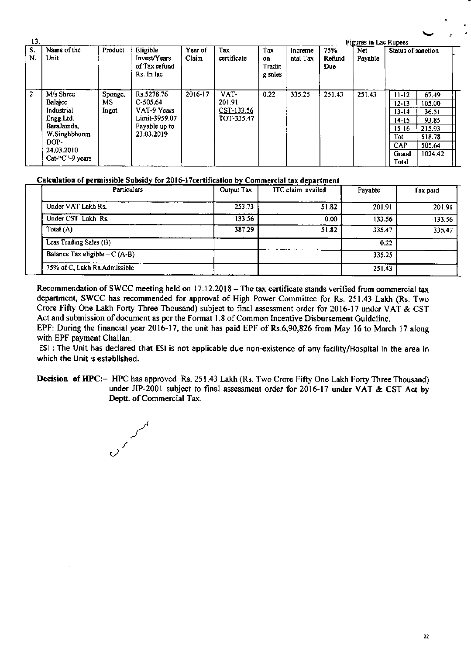| 13.            | <b>Figures in Lac Rupees</b>                                                                                                        |                         |                                                                                         |                  |                                            |                                 |                     |                             |                |                                                                                               |                                                                            |  |
|----------------|-------------------------------------------------------------------------------------------------------------------------------------|-------------------------|-----------------------------------------------------------------------------------------|------------------|--------------------------------------------|---------------------------------|---------------------|-----------------------------|----------------|-----------------------------------------------------------------------------------------------|----------------------------------------------------------------------------|--|
| S.<br>N.       | Name of the<br>Unit                                                                                                                 | Product                 | Eligible<br>Invest/Years<br>of Tax refund<br>Rs. In lac                                 | Year of<br>Claim | Tax<br>certificate                         | Tax<br>on.<br>Tradin<br>g sales | Increme<br>ntal Tax | 75%<br>Refund<br><b>Due</b> | Net<br>Payable | Status of sanction                                                                            |                                                                            |  |
| $\overline{2}$ | M/s Shree<br><b>Balajee</b><br>Industrial<br>Engg.Ltd.<br><b>Baralamda</b><br>W.Singhbhoom<br>DOP-<br>24.03.2010<br>Cat-"C"-9 years | Sponge,<br>MS.<br>Ingot | Rs.5278.76<br>$C-505.64$<br>VAT-9 Years<br>Limit-3959.07<br>Payable up to<br>23.03.2019 | $2016 - 17$      | VAT-<br>201.91<br>CST-133.56<br>TOT-335.47 | 0.22                            | 335.25              | 251.43                      | 251.43         | $11 - 12$<br>$12 - 13$<br>$13 - 14$<br>$14 - 15$<br>$15 - 16$<br>Tot<br>CAP<br>Grand<br>Total | 67.49<br>105.00<br>36.51<br>93.85<br>215.93<br>518.78<br>505.64<br>1024.42 |  |

## Calculation of permissible Subsidy for 2016-17certification by Commercial tax department

| Particulars                    | Output Tax | ITC claim availed | Payable | Tax paid |
|--------------------------------|------------|-------------------|---------|----------|
| Under VAT Lakh Rs.             | 253.73     | 51.82             | 201.91  | 201.91   |
| Under CST Lakh Rs.             | 133.56     | 0.00              | 133.56  | 133.56   |
| Total (A)                      | 387.29     | 51.82             | 335.47  | 335.47   |
| Less Trading Sales (B)         |            |                   | 0.22    |          |
| Balance Tax eligible $-C(A-B)$ |            |                   | 335.25  |          |
| 75% of C, Lakh Rs.Admissible   |            |                   | 251.43  |          |

Recommendation of SWCC meeting held on 17.12.2018 – The tax certificate stands verified from commercial tax department, SWCC has recommended for approval of High Power Committee for Rs. 251.43 Lakh (Rs. Two Crore Fifty One Lakh Forty Three Thousand) subject to final assessment order for 2016-17 under VAT & CST Act and submission of document as per the Format 1.8 of Common Incentive Disbursement Guideline.

EPF: During the financial year 2016-17, the unit has paid EPF of Rs.6,90,826 from May 16 to March 17 along with EPF payment Challan.

ESI: The Unit has declared that ESI is not applicable due non-existence of any facility/Hospital in the area in which the Unit is established.

Decision of HPC:- HPC has approved Rs. 251.43 Lakh (Rs. Two Crore Fifty One Lakh Forty Three Thousand) under JIP-2001 subject to final assessment order for 2016-17 under VAT & CST Act by Deptt. of Commercial Tax.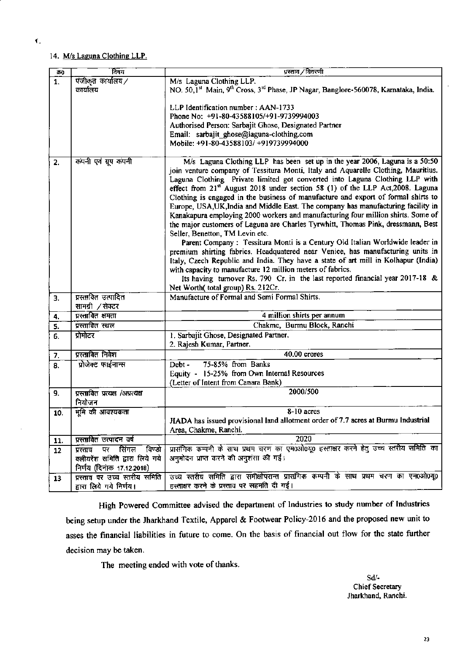## 14. M/s Laguna Clothing LLP.

| ਰਾ0     | विषय                              | प्रस्ताव ∕विवरणी                                                                                                                                                          |
|---------|-----------------------------------|---------------------------------------------------------------------------------------------------------------------------------------------------------------------------|
| 1.      | पंजीकृत कार्यालय/                 | M/s Laguna Clothing LLP.                                                                                                                                                  |
|         | कार्यालय                          | NO. 50,1 <sup>st</sup> Main, 9 <sup>th</sup> Cross, 3 <sup>rd</sup> Phase, JP Nagar, Banglore-560078, Karnataka, India.                                                   |
|         |                                   |                                                                                                                                                                           |
|         |                                   | LLP Identification number: AAN-1733                                                                                                                                       |
|         |                                   | Phone No: +91-80-43588105/+91-9739994003                                                                                                                                  |
|         |                                   | Authorised Person: Sarbajit Ghose, Designated Partner                                                                                                                     |
|         |                                   | Email: sarbajit_ghose@laguna-clothing.com                                                                                                                                 |
|         |                                   | Mobile: +91-80-43588103/ +919739994000                                                                                                                                    |
|         |                                   |                                                                                                                                                                           |
| 2.      | कंपनी एवं ग्रुप कंपनी             | M/s Laguna Clothing LLP has been set up in the year 2006, Laguna is a 50:50                                                                                               |
|         |                                   | join venture company of Tessitura Monti, Italy and Aquarelle Clothing, Mauritius.                                                                                         |
|         |                                   | Laguna Clothing Private limited got converted into Laguna Clothing LLP with<br>effect from 21 <sup>st</sup> August 2018 under section 58 (1) of the LLP Act, 2008. Laguna |
|         |                                   | Clothing is engaged in the business of manufacture and export of formal shirts to                                                                                         |
|         |                                   | Europe, USA, UK, India and Middle East. The company has manufacturing facility in                                                                                         |
|         |                                   | Kanakapura employing 2000 workers and manufacturing four million shirts. Some of                                                                                          |
|         |                                   | the major customers of Laguna are Charles Tyrwhitt, Thomas Pink, dressmann, Best                                                                                          |
|         |                                   | Seller, Benetton, TM Levin etc.                                                                                                                                           |
|         |                                   | Parent Company: Tessitura Monti is a Century Old Italian Worldwide leader in                                                                                              |
|         |                                   | premium shirting fabrics. Headquatered near Venice, has manufacturing units in                                                                                            |
|         |                                   | Italy, Czech Republic and India. They have a state of art mill in Kolhapur (India)                                                                                        |
|         |                                   | with capacity to manufacture 12 million meters of fabrics.                                                                                                                |
|         |                                   | Its having turnover Rs. 790 Cr. in the last reported financial year 2017-18 &                                                                                             |
|         |                                   | Net Worth(total group) Rs. 212Cr.                                                                                                                                         |
| 3.      | प्रस्तावित उत्पादित               | Manufacture of Formal and Semi Formal Shirts.                                                                                                                             |
|         | सामग्री ∕सेक्टर                   |                                                                                                                                                                           |
| 4.      | प्रस्तावित क्षमता                 | 4 million shirts per annum                                                                                                                                                |
| 5.      | प्रस्तावित स्थल                   | Chakme, Burmu Block, Ranchi                                                                                                                                               |
| 6.      | प्रोमोटर                          | 1. Sarbajit Ghose, Designated Partner.                                                                                                                                    |
|         |                                   | 2. Rajesh Kumar, Partner.                                                                                                                                                 |
| 7.      | प्रस्तावित निवेश                  | 40.00 crores                                                                                                                                                              |
| 8.      | प्रोजेक्ट फाईनान्स                | 75-85% from Banks<br>Debt -                                                                                                                                               |
|         |                                   | Equity - 15-25% from Own Internal Resources                                                                                                                               |
|         |                                   | (Letter of Intent from Canara Bank)                                                                                                                                       |
| 9.      | प्रस्तावित प्रत्यक्ष /अप्रत्यक्ष  | 2000/500                                                                                                                                                                  |
|         | नियोजन                            |                                                                                                                                                                           |
| 10.     | मुमि की आवश्यकता                  | 8-10 acres                                                                                                                                                                |
|         |                                   | JIADA has issued provisional land allotment order of 7.7 acres at Burmu Industrial                                                                                        |
|         |                                   | Area, Chakme, Ranchi.                                                                                                                                                     |
| 11.     | प्रस्तावित उत्पादन वर्ष           | 2020                                                                                                                                                                      |
| $12 \,$ | विण्डो<br>सिंगल<br>पर<br>प्रस्ताव | प्रासंगिक कम्पनी के साथ प्रथम चरण का एम0ओ0यू0 हस्ताक्षर करने हेतु उच्च स्तरीय समिति का                                                                                    |
|         | क्लीयरेंश समिति द्वारा लिये गये   | अनुमोदन प्राप्त करने की अनुशंसा की गई।                                                                                                                                    |
|         | निर्णय (दिनांक 17.12.2018)        |                                                                                                                                                                           |
| 13      | प्रस्ताव पर उच्च स्तरीय समिति     | उच्च स्तरीय समिति द्वारा समीक्षोपरान्त प्रासंगिक कम्पनी के साथ प्रथम चरण का एम०ओ०यू०                                                                                      |
|         | द्वारा लिये गये निर्णय।           | हस्ताक्षर करने के प्रस्ताव पर सहमति दी गई।                                                                                                                                |

High Powered Committee advised the department of Industries to study number of Industries being setup under the Jharkhand Textile, Apparel & Footwear Policy-2016 and the proposed new unit to asses the financial liabilities in future to come. On the basis of financial out flow for the state further decision may be taken.

The meeting ended with vote of thanks.

 $Sd$ /-Chief Secretary Jharkhand, Ranchi.